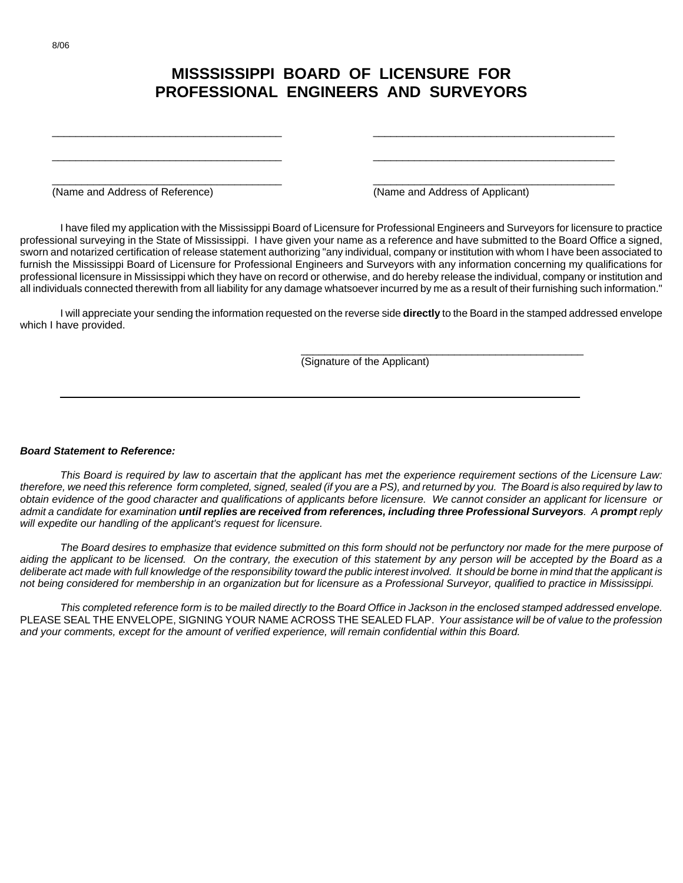## **MISSSISSIPPI BOARD OF LICENSURE FOR PROFESSIONAL ENGINEERS AND SURVEYORS**

\_\_\_\_\_\_\_\_\_\_\_\_\_\_\_\_\_\_\_\_\_\_\_\_\_\_\_\_\_\_\_\_\_\_\_\_\_\_\_ \_\_\_\_\_\_\_\_\_\_\_\_\_\_\_\_\_\_\_\_\_\_\_\_\_\_\_\_\_\_\_\_\_\_\_\_\_\_\_\_\_

\_\_\_\_\_\_\_\_\_\_\_\_\_\_\_\_\_\_\_\_\_\_\_\_\_\_\_\_\_\_\_\_\_\_\_\_\_\_\_ \_\_\_\_\_\_\_\_\_\_\_\_\_\_\_\_\_\_\_\_\_\_\_\_\_\_\_\_\_\_\_\_\_\_\_\_\_\_\_\_\_

\_\_\_\_\_\_\_\_\_\_\_\_\_\_\_\_\_\_\_\_\_\_\_\_\_\_\_\_\_\_\_\_\_\_\_\_\_\_\_ \_\_\_\_\_\_\_\_\_\_\_\_\_\_\_\_\_\_\_\_\_\_\_\_\_\_\_\_\_\_\_\_\_\_\_\_\_\_\_\_\_

(Name and Address of Reference) (Name and Address of Applicant)

\_\_\_\_\_\_\_\_\_\_\_\_\_\_\_\_\_\_\_\_\_\_\_\_\_\_\_\_\_\_\_\_\_\_\_\_\_\_\_\_\_\_\_\_\_\_\_\_

I have filed my application with the Mississippi Board of Licensure for Professional Engineers and Surveyors for licensure to practice professional surveying in the State of Mississippi. I have given your name as a reference and have submitted to the Board Office a signed, sworn and notarized certification of release statement authorizing "any individual, company or institution with whom I have been associated to furnish the Mississippi Board of Licensure for Professional Engineers and Surveyors with any information concerning my qualifications for professional licensure in Mississippi which they have on record or otherwise, and do hereby release the individual, company or institution and all individuals connected therewith from all liability for any damage whatsoever incurred by me as a result of their furnishing such information."

I will appreciate your sending the information requested on the reverse side **directly** to the Board in the stamped addressed envelope which I have provided.

 $\_$  , and the set of the set of the set of the set of the set of the set of the set of the set of the set of the set of the set of the set of the set of the set of the set of the set of the set of the set of the set of th

(Signature of the Applicant)

## *Board Statement to Reference:*

*This Board is required by law to ascertain that the applicant has met the experience requirement sections of the Licensure Law: therefore, we need this reference form completed, signed, sealed (if you are a PS), and returned by you. The Board is also required by law to obtain evidence of the good character and qualifications of applicants before licensure. We cannot consider an applicant for licensure or admit a candidate for examination until replies are received from references, including three Professional Surveyors. A prompt reply will expedite our handling of the applicant's request for licensure.* 

*The Board desires to emphasize that evidence submitted on this form should not be perfunctory nor made for the mere purpose of*  aiding the applicant to be licensed. On the contrary, the execution of this statement by any person will be accepted by the Board as a deliberate act made with full knowledge of the responsibility toward the public interest involved. It should be borne in mind that the applicant is *not being considered for membership in an organization but for licensure as a Professional Surveyor, qualified to practice in Mississippi.* 

*This completed reference form is to be mailed directly to the Board Office in Jackson in the enclosed stamped addressed envelope.*  PLEASE SEAL THE ENVELOPE, SIGNING YOUR NAME ACROSS THE SEALED FLAP. *Your assistance will be of value to the profession and your comments, except for the amount of verified experience, will remain confidential within this Board.*